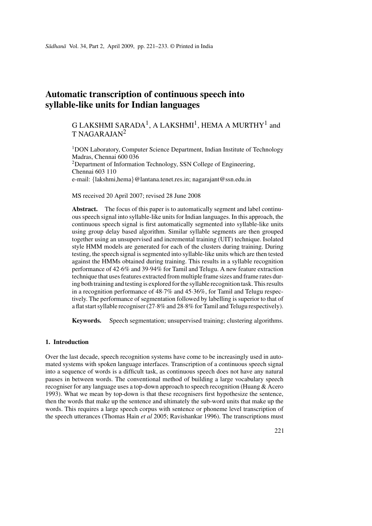# **Automatic transcription of continuous speech into syllable-like units for Indian languages**

## G LAKSHMI SARADA<sup>1</sup>, A LAKSHMI<sup>1</sup>, HEMA A MURTHY<sup>1</sup> and  $T NAGARAIAN<sup>2</sup>$

<sup>1</sup>DON Laboratory, Computer Science Department, Indian Institute of Technology Madras, Chennai 600 036  $2$ Department of Information Technology, SSN College of Engineering, Chennai 603 110 e-mail: *{*lakshmi,hema*}*@lantana.tenet.res.in; nagarajant@ssn.edu.in

MS received 20 April 2007; revised 28 June 2008

**Abstract.** The focus of this paper is to automatically segment and label continuous speech signal into syllable-like units for Indian languages. In this approach, the continuous speech signal is first automatically segmented into syllable-like units using group delay based algorithm. Similar syllable segments are then grouped together using an unsupervised and incremental training (UIT) technique. Isolated style HMM models are generated for each of the clusters during training. During testing, the speech signal is segmented into syllable-like units which are then tested against the HMMs obtained during training. This results in a syllable recognition performance of 42·6% and 39·94% for Tamil and Telugu. A new feature extraction technique that uses features extracted from multiple frame sizes and frame rates during both training and testing is explored for the syllable recognition task. This results in a recognition performance of 48·7% and 45·36%, for Tamil and Telugu respectively. The performance of segmentation followed by labelling is superior to that of a flat start syllable recogniser (27·8% and 28·8% for Tamil and Telugu respectively).

**Keywords.** Speech segmentation; unsupervised training; clustering algorithms.

## **1. Introduction**

Over the last decade, speech recognition systems have come to be increasingly used in automated systems with spoken language interfaces. Transcription of a continuous speech signal into a sequence of words is a difficult task, as continuous speech does not have any natural pauses in between words. The conventional method of building a large vocabulary speech recogniser for any language uses a top-down approach to speech recognition (Huang & Acero 1993). What we mean by top-down is that these recognisers first hypothesize the sentence, then the words that make up the sentence and ultimately the sub-word units that make up the words. This requires a large speech corpus with sentence or phoneme level transcription of the speech utterances (Thomas Hain *et al* 2005; Ravishankar 1996). The transcriptions must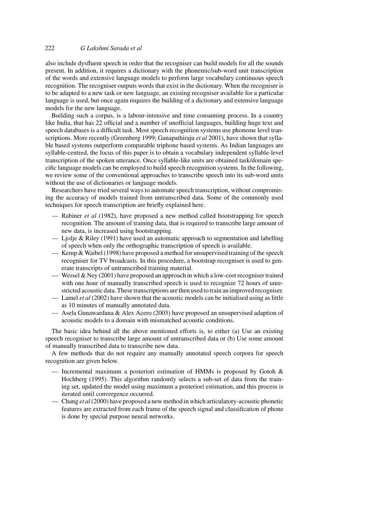also include dysfluent speech in order that the recogniser can build models for all the sounds present. In addition, it requires a dictionary with the phonemic/sub-word unit transcription of the words and extensive language models to perform large vocabulary continuous speech recognition. The recogniser outputs words that exist in the dictionary. When the recogniser is to be adapted to a new task or new language, an existing recogniser available for a particular language is used, but once again requires the building of a dictionary and extensive language models for the new language.

Building such a corpus, is a labour-intensive and time consuming process. In a country like India, that has 22 official and a number of unofficial languages, building huge text and speech databases is a difficult task. Most speech recognition systems use phoneme level transcriptions. More recently (Greenberg 1999; Ganapathiraju *et al* 2001), have shown that syllable based systems outperform comparable triphone based systems. As Indian languages are syllable-centred, the focus of this paper is to obtain a vocabulary independent syllable-level transcription of the spoken utterance. Once syllable-like units are obtained task/domain specific language models can be employed to build speech recognition systems. In the following, we review some of the conventional approaches to transcribe speech into its sub-word units without the use of dictionaries or language models.

Researchers have tried several ways to automate speech transcription, without compromising the accuracy of models trained from untranscribed data. Some of the commonly used techniques for speech transcription are briefly explained here.

- Rabiner *et al* (1982), have proposed a new method called bootstrapping for speech recognition. The amount of training data, that is required to transcribe large amount of new data, is increased using bootstrapping.
- Ljolje & Riley (1991) have used an automatic approach to segmentation and labelling of speech when only the orthographic transcription of speech is available.
- Kemp & Waibel (1998) have proposed a method for unsupervised training of the speech recogniser for TV broadcasts. In this procedure, a bootstrap recogniser is used to generate transcripts of untranscribed training material.
- Wessel & Ney (2001) have proposed an approach in which a low-cost recogniser trained with one hour of manually transcribed speech is used to recognize 72 hours of unrestricted acoustic data. These transcriptions are then used to train an improved recogniser.
- Lamel *et al* (2002) have shown that the acoustic models can be initialised using as little as 10 minutes of manually annotated data.
- Asela Gunawardana & Alex Acero (2003) have proposed an unsupervised adaption of acoustic models to a domain with mismatched acoustic conditions.

The basic idea behind all the above mentioned efforts is, to either (a) Use an existing speech recogniser to transcribe large amount of untranscribed data or (b) Use some amount of manually transcribed data to transcribe new data.

A few methods that do not require any manually annotated speech corpora for speech recognition are given below.

- Incremental maximum a posteriori estimation of HMMs is proposed by Gotoh & Hochberg (1995). This algorithm randomly selects a sub-set of data from the training set, updated the model using maximum a posteriori estimation, and this process is iterated until convergence occurred.
- Chang *et al*(2000) have proposed a new method in which articulatory-acoustic phonetic features are extracted from each frame of the speech signal and classification of phone is done by special purpose neural networks.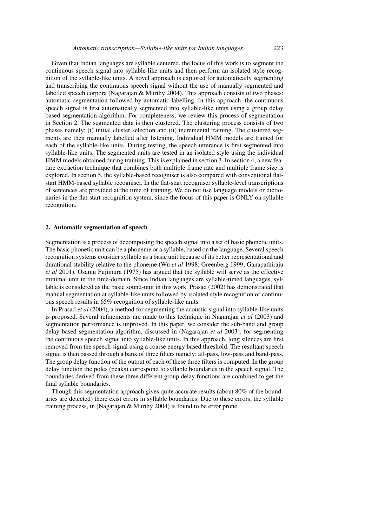Given that Indian languages are syllable centered, the focus of this work is to segment the continuous speech signal into syllable-like units and then perform an isolated style recognition of the syllable-like units. A novel approach is explored for automatically segmenting and transcribing the continuous speech signal without the use of manually segmented and labelled speech corpora (Nagarajan & Murthy 2004). This approach consists of two phases: automatic segmentation followed by automatic labelling. In this approach, the continuous speech signal is first automatically segmented into syllable-like units using a group delay based segmentation algorithm. For completeness, we review this process of segmentation in Section 2. The segmented data is then clustered. The clustering process consists of two phases namely: (i) initial cluster selection and (ii) incremental training. The clustered segments are then manually labelled after listening. Individual HMM models are trained for each of the syllable-like units. During testing, the speech utterance is first segmented into syllable-like units. The segmented units are tested in an isolated style using the individual HMM models obtained during training. This is explained in section 3. In section 4, a new feature extraction technique that combines both multiple frame rate and multiple frame size is explored. In section 5, the syllable-based recogniser is also compared with conventional flatstart HMM-based syllable recogniser. In the flat-start recogniser syllable-level transcriptions of sentences are provided at the time of training. We do not use language models or dictionaries in the flat-start recognition system, since the focus of this paper is ONLY on syllable recognition.

#### **2. Automatic segmentation of speech**

Segmentation is a process of decomposing the speech signal into a set of basic phonetic units. The basic phonetic unit can be a phoneme or a syllable, based on the language. Several speech recognition systems consider syllable as a basic unit because of its better representational and durational stability relative to the phoneme (Wu *et al* 1998; Greenberg 1999; Ganapathiraju *et al* 2001). Osamu Fujimura (1975) has argued that the syllable will serve as the effective minimal unit in the time-domain. Since Indian languages are syllable-timed languages, syllable is considered as the basic sound-unit in this work. Prasad (2002) has demonstrated that manual segmentation at syllable-like units followed by isolated style recognition of continuous speech results in 65% recognition of syllable-like units.

In Prasad *et al* (2004), a method for segmenting the acoustic signal into syllable-like units is proposed. Several refinements are made to this technique in Nagarajan *et al* (2003) and segmentation performance is improved. In this paper, we consider the sub-band and group delay based segmentation algorithm, discussed in (Nagarajan *et al* 2003), for segmenting the continuous speech signal into syllable-like units. In this approach, long silences are first removed from the speech signal using a coarse energy based threshold. The resultant speech signal is then passed through a bank of three filters namely: all-pass, low-pass and band-pass. The group delay function of the output of each of these three filters is computed. In the group delay function the poles (peaks) correspond to syllable boundaries in the speech signal. The boundaries derived from these three different group delay functions are combined to get the final syllable boundaries.

Though this segmentation approach gives quite accurate results (about 80% of the boundaries are detected) there exist errors in syllable boundaries. Due to these errors, the syllable training process, in (Nagarajan & Murthy 2004) is found to be error prone.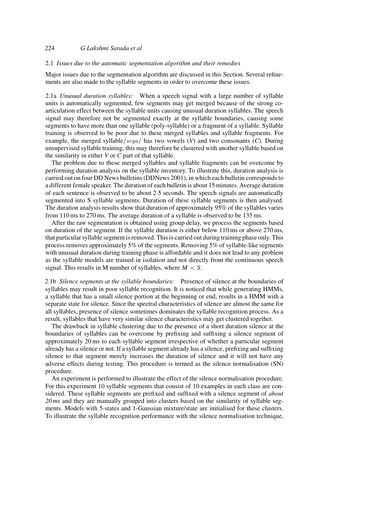## 224 *G Lakshmi Sarada et al*

#### 2.1 *Issues due to the automatic segmentation algorithm and their remedies*

Major issues due to the segmentation algorithm are discussed in this Section. Several refinements are also made to the syllable segments in order to overcome these issues.

2.1a *Unusual duration syllables:* When a speech signal with a large number of syllable units is automatically segmented, few segments may get merged because of the strong coarticulation effect between the syllable units causing unusual duration syllables. The speech signal may therefore not be segmented exactly at the syllable boundaries, causing some segments to have more than one syllable (poly-syllable) or a fragment of a syllable. Syllable training is observed to be poor due to these merged syllables and syllable fragments. For example, the merged syllable/*seya*/ has two vowels (*V*) and two consonants (*C*). During unsupervised syllable training, this may therefore be clustered with another syllable based on the similarity in either *V* or *C* part of that syllable.

The problem due to these merged syllables and syllable fragments can be overcome by performing duration analysis on the syllable inventory. To illustrate this, duration analysis is carried out on four DD News bulletins (DDNews 2001), in which each bulletin corresponds to a different female speaker. The duration of each bulletin is about 15 minutes. Average duration of each sentence is observed to be about 2·5 seconds. The speech signals are automatically segmented into S syllable segments. Duration of these syllable segments is then analysed. The duration analysis results show that duration of approximately 95% of the syllables varies from 110 ms to 270 ms. The average duration of a syllable is observed to be 135 ms.

After the raw segmentation is obtained using group delay, we process the segments based on duration of the segment. If the syllable duration is either below 110 ms or above 270 ms, that particular syllable segment is removed. This is carried out during training phase only. This process removes approximately 5% of the segments. Removing 5% of syllable-like segments with unusual duration during training phase is affordable and it does not lead to any problem as the syllable models are trained in isolation and not directly from the continuous speech signal. This results in M number of syllables, where  $M < S$ .

2.1b *Silence segments at the syllable boundaries:* Presence of silence at the boundaries of syllables may result in poor syllable recognition. It is noticed that while generating HMMs, a syllable that has a small silence portion at the beginning or end, results in a HMM with a separate state for silence. Since the spectral characteristics of silence are almost the same for all syllables, presence of silence sometimes dominates the syllable recognition process. As a result, syllables that have very similar silence characteristics may get clustered together.

The drawback in syllable clustering due to the presence of a short duration silence at the boundaries of syllables can be overcome by prefixing and suffixing a silence segment of approximately 20 ms to each syllable segment irrespective of whether a particular segment already has a silence or not. If a syllable segment already has a silence, prefixing and suffixing silence to that segment merely increases the duration of silence and it will not have any adverse effects during testing. This procedure is termed as the silence normalisation (SN) procedure.

An experiment is performed to illustrate the effect of the silence normalisation procedure. For this experiment 10 syllable segments that consist of 10 examples in each class are considered. These syllable segments are prefixed and suffixed with a silence segment of *about 20 ms* and they are manually grouped into clusters based on the similarity of syllable segments. Models with 5-states and 1-Gaussian mixture/state are initialised for these clusters. To illustrate the syllable recognition performance with the silence normalisation technique,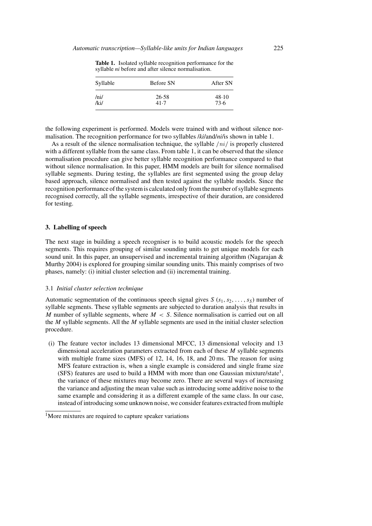| Syllable | Before SN | After SN |  |
|----------|-----------|----------|--|
| /ni/     | 26.58     | 48.10    |  |
| /ki/     | 41.7      | 73.6     |  |

**Table 1.** Isolated syllable recognition performance for the syllable *ni* before and after silence normalisation.

the following experiment is performed. Models were trained with and without silence normalisation. The recognition performance for two syllables /*ki*/and/*ni*/is shown in table 1.

As a result of the silence normalisation technique, the syllable /*ni*/ is properly clustered with a different syllable from the same class. From table 1, it can be observed that the silence normalisation procedure can give better syllable recognition performance compared to that without silence normalisation. In this paper, HMM models are built for silence normalised syllable segments. During testing, the syllables are first segmented using the group delay based approach, silence normalised and then tested against the syllable models. Since the recognition performance of the system is calculated only from the number of syllable segments recognised correctly, all the syllable segments, irrespective of their duration, are considered for testing.

#### **3. Labelling of speech**

The next stage in building a speech recogniser is to build acoustic models for the speech segments. This requires grouping of similar sounding units to get unique models for each sound unit. In this paper, an unsupervised and incremental training algorithm (Nagarajan & Murthy 2004) is explored for grouping similar sounding units. This mainly comprises of two phases, namely: (i) initial cluster selection and (ii) incremental training.

#### 3.1 *Initial cluster selection technique*

Automatic segmentation of the continuous speech signal gives S ( $s_1, s_2, \ldots, s_s$ ) number of syllable segments. These syllable segments are subjected to duration analysis that results in M number of syllable segments, where  $M < S$ . Silence normalisation is carried out on all the  $M$  syllable segments. All the  $M$  syllable segments are used in the initial cluster selection procedure.

(i) The feature vector includes 13 dimensional MFCC, 13 dimensional velocity and 13 dimensional acceleration parameters extracted from each of these  $M$  syllable segments with multiple frame sizes (MFS) of 12, 14, 16, 18, and 20 ms. The reason for using MFS feature extraction is, when a single example is considered and single frame size (SFS) features are used to build a HMM with more than one Gaussian mixture/state<sup>1</sup>, the variance of these mixtures may become zero. There are several ways of increasing the variance and adjusting the mean value such as introducing some additive noise to the same example and considering it as a different example of the same class. In our case, instead of introducing some unknown noise, we consider features extracted from multiple

<sup>&</sup>lt;sup>1</sup>More mixtures are required to capture speaker variations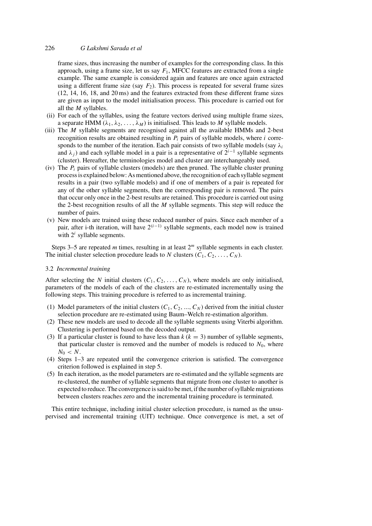## 226 *G Lakshmi Sarada et al*

frame sizes, thus increasing the number of examples for the corresponding class. In this approach, using a frame size, let us say  $F_1$ , MFCC features are extracted from a single example. The same example is considered again and features are once again extracted using a different frame size (say  $F_2$ ). This process is repeated for several frame sizes (12, 14, 16, 18, and 20 ms) and the features extracted from these different frame sizes are given as input to the model initialisation process. This procedure is carried out for all the M syllables.

- (ii) For each of the syllables, using the feature vectors derived using multiple frame sizes, a separate HMM ( $\lambda_1, \lambda_2, \ldots, \lambda_M$ ) is initialised. This leads to M syllable models.
- (iii) The  $M$  syllable segments are recognised against all the available HMMs and 2-best recognition results are obtained resulting in  $P_i$  pairs of syllable models, where i corresponds to the number of the iteration. Each pair consists of two syllable models (say  $\lambda_i$ ) and  $\lambda_j$ ) and each syllable model in a pair is a representative of  $2^{i-1}$  syllable segments (cluster). Hereafter, the terminologies model and cluster are interchangeably used.
- (iv) The  $P_i$  pairs of syllable clusters (models) are then pruned. The syllable cluster pruning process is explained below: As mentioned above, the recognition of each syllable segment results in a pair (two syllable models) and if one of members of a pair is repeated for any of the other syllable segments, then the corresponding pair is removed. The pairs that occur only once in the 2-best results are retained. This procedure is carried out using the 2-best recognition results of all the  $M$  syllable segments. This step will reduce the number of pairs.
- (v) New models are trained using these reduced number of pairs. Since each member of a pair, after i-th iteration, will have  $2^{(i-1)}$  syllable segments, each model now is trained with  $2^i$  syllable segments.

Steps 3–5 are repeated  $m$  times, resulting in at least  $2<sup>m</sup>$  syllable segments in each cluster. The initial cluster selection procedure leads to N clusters  $(C_1, C_2, \ldots, C_N)$ .

#### 3.2 *Incremental training*

After selecting the N initial clusters  $(C_1, C_2, \ldots, C_N)$ , where models are only initialised, parameters of the models of each of the clusters are re-estimated incrementally using the following steps. This training procedure is referred to as incremental training.

- (1) Model parameters of the initial clusters  $(C_1, C_2, ..., C_N)$  derived from the initial cluster selection procedure are re-estimated using Baum–Welch re-estimation algorithm.
- (2) These new models are used to decode all the syllable segments using Viterbi algorithm. Clustering is performed based on the decoded output.
- (3) If a particular cluster is found to have less than  $k$  ( $k = 3$ ) number of syllable segments, that particular cluster is removed and the number of models is reduced to  $N_0$ , where  $N_0 < N$ .
- (4) Steps 1–3 are repeated until the convergence criterion is satisfied. The convergence criterion followed is explained in step 5.
- (5) In each iteration, as the model parameters are re-estimated and the syllable segments are re-clustered, the number of syllable segments that migrate from one cluster to another is expected to reduce. The convergence is said to be met, if the number of syllable migrations between clusters reaches zero and the incremental training procedure is terminated.

This entire technique, including initial cluster selection procedure, is named as the unsupervised and incremental training (UIT) technique. Once convergence is met, a set of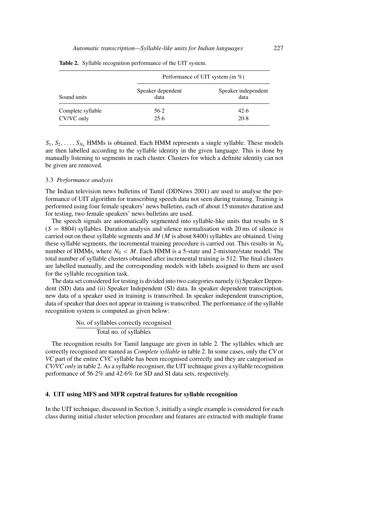|                                 | Performance of UIT system (in $\%$ ) |                             |  |
|---------------------------------|--------------------------------------|-----------------------------|--|
| Sound units                     | Speaker dependent<br>data            | Speaker independent<br>data |  |
| Complete syllable<br>CV/VC only | $56-2$<br>25.6                       | 42.6<br>20.8                |  |

**Table 2.** Syllable recognition performance of the UIT system.

 $S_1, S_2, \ldots, S_{N_0}$  HMMs is obtained. Each HMM represents a single syllable. These models are then labelled according to the syllable identity in the given language. This is done by manually listening to segments in each cluster. Clusters for which a definite identity can not be given are removed.

#### 3.3 *Performance analysis*

The Indian television news bulletins of Tamil (DDNews 2001) are used to analyse the performance of UIT algorithm for transcribing speech data not seen during training. Training is performed using four female speakers' news bulletins, each of about 15 minutes duration and for testing, two female speakers' news bulletins are used.

The speech signals are automatically segmented into syllable-like units that results in S  $(S = 8804)$  syllables. Duration analysis and silence normalisation with 20 ms of silence is carried out on these syllable segments and  $M$  ( $M$  is about 8400) syllables are obtained. Using these syllable segments, the incremental training procedure is carried out. This results in  $N_0$ number of HMMs, where  $N_0 < M$ . Each HMM is a 5-state and 2-mixture/state model. The total number of syllable clusters obtained after incremental training is 512. The final clusters are labelled manually, and the corresponding models with labels assigned to them are used for the syllable recognition task.

The data set considered for testing is divided into two categories namely (i) Speaker Dependent (SD) data and (ii) Speaker Independent (SI) data. In speaker dependent transcription, new data of a speaker used in training is transcribed. In speaker independent transcription, data of speaker that does not appear in training is transcribed. The performance of the syllable recognition system is computed as given below:

No. of syllables correctly recognised Total no. of syllables .

The recognition results for Tamil language are given in table 2. The syllables which are correctly recognised are named as *Complete syllable* in table 2. In some cases, only the *CV* or *VC* part of the entire *CVC* syllable has been recognised correctly and they are categorised as *CV/VC only* in table 2. As a syllable recogniser, the UIT technique gives a syllable recognition performance of 56·2% and 42·6% for SD and SI data sets, respectively.

#### **4. UIT using MFS and MFR cepstral features for syllable recognition**

In the UIT technique, discussed in Section 3, initially a single example is considered for each class during initial cluster selection procedure and features are extracted with multiple frame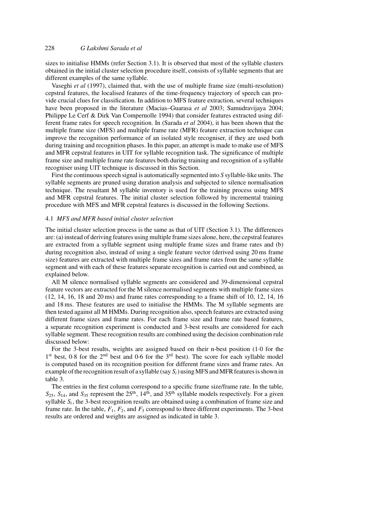sizes to initialise HMMs (refer Section 3.1). It is observed that most of the syllable clusters obtained in the initial cluster selection procedure itself, consists of syllable segments that are different examples of the same syllable.

Vaseghi *et al* (1997), claimed that, with the use of multiple frame size (multi-resolution) cepstral features, the localised features of the time-frequency trajectory of speech can provide crucial clues for classification. In addition to MFS feature extraction, several techniques have been proposed in the literature (Macias–Guarasa *et al* 2003; Samudravijaya 2004; Philippe Le Cerf & Dirk Van Compernolle 1994) that consider features extracted using different frame rates for speech recognition. In (Sarada *et al* 2004), it has been shown that the multiple frame size (MFS) and multiple frame rate (MFR) feature extraction technique can improve the recognition performance of an isolated style recogniser, if they are used both during training and recognition phases. In this paper, an attempt is made to make use of MFS and MFR cepstral features in UIT for syllable recognition task. The significance of multiple frame size and multiple frame rate features both during training and recognition of a syllable recogniser using UIT technique is discussed in this Section.

First the continuous speech signal is automatically segmented into *S* syllable-like units. The syllable segments are pruned using duration analysis and subjected to silence normalisation technique. The resultant M syllable inventory is used for the training process using MFS and MFR cepstral features. The initial cluster selection followed by incremental training procedure with MFS and MFR cepstral features is discussed in the following Sections.

## 4.1 *MFS and MFR based initial cluster selection*

The initial cluster selection process is the same as that of UIT (Section 3.1). The differences are: (a) instead of deriving features using multiple frame sizes alone, here, the cepstral features are extracted from a syllable segment using multiple frame sizes and frame rates and (b) during recognition also, instead of using a single feature vector (derived using 20 ms frame size) features are extracted with multiple frame sizes and frame rates from the same syllable segment and with each of these features separate recognition is carried out and combined, as explained below.

All M silence normalised syllable segments are considered and 39-dimensional cepstral feature vectors are extracted for the M silence normalised segments with multiple frame sizes (12, 14, 16, 18 and 20 ms) and frame rates corresponding to a frame shift of 10, 12, 14, 16 and 18 ms. These features are used to initialise the HMMs. The M syllable segments are then tested against all M HMMs. During recognition also, speech features are extracted using different frame sizes and frame rates. For each frame size and frame rate based features, a separate recognition experiment is conducted and 3-best results are considered for each syllable segment. These recognition results are combined using the decision combination rule discussed below:

For the 3-best results, weights are assigned based on their n-best position (1·0 for the 1<sup>st</sup> best, 0.8 for the 2<sup>nd</sup> best and 0.6 for the 3<sup>rd</sup> best). The score for each syllable model is computed based on its recognition position for different frame sizes and frame rates. An example of the recognition result of a syllable (say  $S_i$ ) using MFS and MFR features is shown in table 3.

The entries in the first column correspond to a specific frame size/frame rate. In the table,  $S_{25}$ ,  $S_{14}$ , and  $S_{35}$  represent the  $25<sup>th</sup>$ ,  $14<sup>th</sup>$ , and  $35<sup>th</sup>$  syllable models respectively. For a given syllable  $S_i$ , the 3-best recognition results are obtained using a combination of frame size and frame rate. In the table,  $F_1$ ,  $F_2$ , and  $F_3$  correspond to three different experiments. The 3-best results are ordered and weights are assigned as indicated in table 3.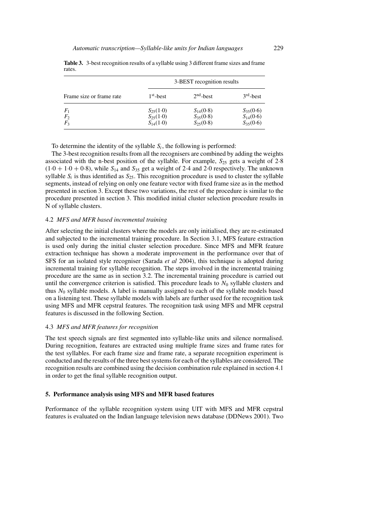|                                  | 3-BEST recognition results                      |                                                 |                                                 |
|----------------------------------|-------------------------------------------------|-------------------------------------------------|-------------------------------------------------|
| Frame size or frame rate         | $1st$ -best                                     | $2nd$ -best                                     | $3rd$ -best                                     |
| $F_1$<br>F <sub>2</sub><br>$F_3$ | $S_{25}(1.0)$<br>$S_{25}(1.0)$<br>$S_{14}(1.0)$ | $S_{14}(0.8)$<br>$S_{35}(0.8)$<br>$S_{25}(0.8)$ | $S_{35}(0.6)$<br>$S_{14}(0.6)$<br>$S_{35}(0.6)$ |

**Table 3.** 3-best recognition results of a syllable using 3 different frame sizes and frame rates.

To determine the identity of the syllable  $S_i$ , the following is performed:

The 3-best recognition results from all the recognisers are combined by adding the weights associated with the n-best position of the syllable. For example,  $S_{25}$  gets a weight of 2·8  $(1.0 + 1.0 + 0.8)$ , while  $S_{14}$  and  $S_{35}$  get a weight of 2.4 and 2.0 respectively. The unknown syllable  $S_i$  is thus identified as  $S_{25}$ . This recognition procedure is used to cluster the syllable segments, instead of relying on only one feature vector with fixed frame size as in the method presented in section 3. Except these two variations, the rest of the procedure is similar to the procedure presented in section 3. This modified initial cluster selection procedure results in N of syllable clusters.

#### 4.2 *MFS and MFR based incremental training*

After selecting the initial clusters where the models are only initialised, they are re-estimated and subjected to the incremental training procedure. In Section 3.1, MFS feature extraction is used only during the initial cluster selection procedure. Since MFS and MFR feature extraction technique has shown a moderate improvement in the performance over that of SFS for an isolated style recogniser (Sarada *et al* 2004), this technique is adopted during incremental training for syllable recognition. The steps involved in the incremental training procedure are the same as in section 3.2. The incremental training procedure is carried out until the convergence criterion is satisfied. This procedure leads to  $N_0$  syllable clusters and thus  $N_0$  syllable models. A label is manually assigned to each of the syllable models based on a listening test. These syllable models with labels are further used for the recognition task using MFS and MFR cepstral features. The recognition task using MFS and MFR cepstral features is discussed in the following Section.

#### 4.3 *MFS and MFR features for recognition*

The test speech signals are first segmented into syllable-like units and silence normalised. During recognition, features are extracted using multiple frame sizes and frame rates for the test syllables. For each frame size and frame rate, a separate recognition experiment is conducted and the results of the three best systems for each of the syllables are considered. The recognition results are combined using the decision combination rule explained in section 4.1 in order to get the final syllable recognition output.

#### **5. Performance analysis using MFS and MFR based features**

Performance of the syllable recognition system using UIT with MFS and MFR cepstral features is evaluated on the Indian language television news database (DDNews 2001). Two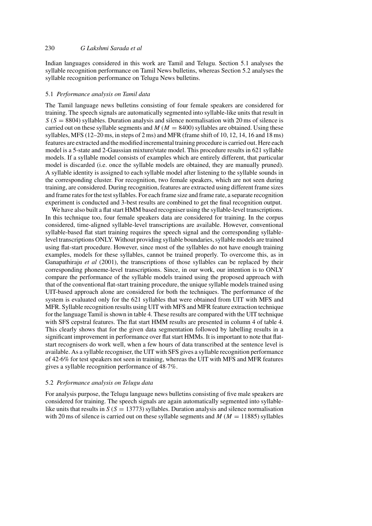Indian languages considered in this work are Tamil and Telugu. Section 5.1 analyses the syllable recognition performance on Tamil News bulletins, whereas Section 5.2 analyses the syllable recognition performance on Telugu News bulletins.

## 5.1 *Performance analysis on Tamil data*

The Tamil language news bulletins consisting of four female speakers are considered for training. The speech signals are automatically segmented into syllable-like units that result in  $S(S = 8804)$  syllables. Duration analysis and silence normalisation with 20 ms of silence is carried out on these syllable segments and  $M (M = 8400)$  syllables are obtained. Using these syllables, MFS (12–20 ms, in steps of 2 ms) and MFR (frame shift of 10, 12, 14, 16 and 18 ms) features are extracted and the modified incremental training procedure is carried out. Here each model is a 5-state and 2-Gaussian mixture/state model. This procedure results in 621 syllable models. If a syllable model consists of examples which are entirely different, that particular model is discarded (i.e. once the syllable models are obtained, they are manually pruned). A syllable identity is assigned to each syllable model after listening to the syllable sounds in the corresponding cluster. For recognition, two female speakers, which are not seen during training, are considered. During recognition, features are extracted using different frame sizes and frame rates for the test syllables. For each frame size and frame rate, a separate recognition experiment is conducted and 3-best results are combined to get the final recognition output.

We have also built a flat start HMM based recogniser using the syllable-level transcriptions. In this technique too, four female speakers data are considered for training. In the corpus considered, time-aligned syllable-level transcriptions are available. However, conventional syllable-based flat start training requires the speech signal and the corresponding syllablelevel transcriptions ONLY. Without providing syllable boundaries, syllable models are trained using flat-start procedure. However, since most of the syllables do not have enough training examples, models for these syllables, cannot be trained properly. To overcome this, as in Ganapathiraju *et al* (2001), the transcriptions of those syllables can be replaced by their corresponding phoneme-level transcriptions. Since, in our work, our intention is to ONLY compare the performance of the syllable models trained using the proposed approach with that of the conventional flat-start training procedure, the unique syllable models trained using UIT-based approach alone are considered for both the techniques. The performance of the system is evaluated only for the 621 syllables that were obtained from UIT with MFS and MFR. Syllable recognition results using UIT with MFS and MFR feature extraction technique for the language Tamil is shown in table 4. These results are compared with the UIT technique with SFS cepstral features. The flat start HMM results are presented in column 4 of table 4. This clearly shows that for the given data segmentation followed by labelling results in a significant improvement in performance over flat start HMMs. It is important to note that flatstart recognisers do work well, when a few hours of data transcribed at the sentence level is available. As a syllable recogniser, the UIT with SFS gives a syllable recognition performance of 42·6% for test speakers not seen in training, whereas the UIT with MFS and MFR features gives a syllable recognition performance of 48·7%.

#### 5.2 *Performance analysis on Telugu data*

For analysis purpose, the Telugu language news bulletins consisting of five male speakers are considered for training. The speech signals are again automatically segmented into syllablelike units that results in  $S(S = 13773)$  syllables. Duration analysis and silence normalisation with 20 ms of silence is carried out on these syllable segments and  $M (M = 11885)$  syllables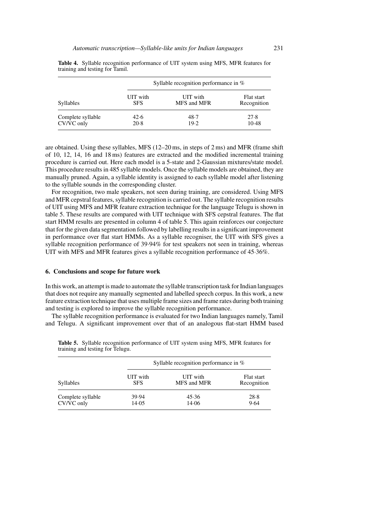| <b>Syllables</b>                | Syllable recognition performance in $\%$ |                         |                           |
|---------------------------------|------------------------------------------|-------------------------|---------------------------|
|                                 | UIT with<br><b>SFS</b>                   | UIT with<br>MFS and MFR | Flat start<br>Recognition |
| Complete syllable<br>CV/VC only | 42.6<br>20.8                             | 48.7<br>19.2            | 27.8<br>10.48             |

**Table 4.** Syllable recognition performance of UIT system using MFS, MFR features for training and testing for Tamil.

are obtained. Using these syllables, MFS (12–20 ms, in steps of 2 ms) and MFR (frame shift of 10, 12, 14, 16 and 18 ms) features are extracted and the modified incremental training procedure is carried out. Here each model is a 5-state and 2-Gaussian mixtures/state model. This procedure results in 485 syllable models. Once the syllable models are obtained, they are manually pruned. Again, a syllable identity is assigned to each syllable model after listening to the syllable sounds in the corresponding cluster.

For recognition, two male speakers, not seen during training, are considered. Using MFS and MFR cepstral features, syllable recognition is carried out. The syllable recognition results of UIT using MFS and MFR feature extraction technique for the language Telugu is shown in table 5. These results are compared with UIT technique with SFS cepstral features. The flat start HMM results are presented in column 4 of table 5. This again reinforces our conjecture that for the given data segmentation followed by labelling results in a significant improvement in performance over flat start HMMs. As a syllable recogniser, the UIT with SFS gives a syllable recognition performance of 39·94% for test speakers not seen in training, whereas UIT with MFS and MFR features gives a syllable recognition performance of 45·36%.

#### **6. Conclusions and scope for future work**

In this work, an attempt is made to automate the syllable transcription task for Indian languages that does not require any manually segmented and labelled speech corpus. In this work, a new feature extraction technique that uses multiple frame sizes and frame rates during both training and testing is explored to improve the syllable recognition performance.

The syllable recognition performance is evaluated for two Indian languages namely, Tamil and Telugu. A significant improvement over that of an analogous flat-start HMM based

| <b>Syllables</b>                | Syllable recognition performance in $\%$ |                         |                           |
|---------------------------------|------------------------------------------|-------------------------|---------------------------|
|                                 | UIT with<br><b>SFS</b>                   | UIT with<br>MFS and MFR | Flat start<br>Recognition |
| Complete syllable<br>CV/VC only | 39.94<br>14.05                           | 45.36<br>14.06          | 28.8<br>9.64              |

**Table 5.** Syllable recognition performance of UIT system using MFS, MFR features for training and testing for Telugu.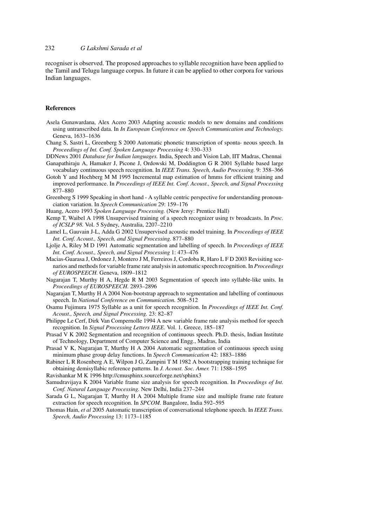recogniser is observed. The proposed approaches to syllable recognition have been applied to the Tamil and Telugu language corpus. In future it can be applied to other corpora for various Indian languages.

#### **References**

- Asela Gunawardana, Alex Acero 2003 Adapting acoustic models to new domains and conditions using untranscribed data. In *In European Conference on Speech Communication and Technology.* Geneva, 1633–1636
- Chang S, Sastri L, Greenberg S 2000 Automatic phonetic transcription of sponta- neous speech. In *Proceedings of Int. Conf. Spoken Language Processing* 4: 330–333
- DDNews 2001 *Database for Indian languages.* India, Speech and Vision Lab, IIT Madras, Chennai Ganapathiraju A, Hamaker J, Picone J, Ordowski M, Doddington G R 2001 Syllable based large
- vocabulary continuous speech recognition. In *IEEE Trans. Speech, Audio Processing.* 9: 358–366
- Gotoh Y and Hochberg M M 1995 Incremental map estimation of hmms for efficient training and improved performance. In *Proceedings of IEEE Int. Conf. Acoust., Speech, and Signal Processing* 877–880
- Greenberg S 1999 Speaking in short hand A syllable centric perspective for understanding pronounciation variation. In *Speech Communication* 29: 159–176
- Huang, Acero 1993 *Spoken Language Processing.* (New Jersy: Prentice Hall)
- Kemp T, Waibel A 1998 Unsupervised training of a speech recognizer using tv broadcasts. In *Proc. of ICSLP 98.* Vol. 5 Sydney, Australia, 2207–2210
- Lamel L, Gauvain J-L, Adda G 2002 Unsupervised acoustic model training. In *Proceedings of IEEE Int. Conf. Acoust., Speech, and Signal Processing.* 877–880
- Ljolje A, Riley M D 1991 Automatic segmentation and labelling of speech. In *Proceedings of IEEE Int. Conf. Acoust., Speech, and Signal Processing* 1: 473–476
- Macias-Guarasa J, Ordonez J, Montero J M, Ferreiros J, Cordoba R, Haro L F D 2003 Revisiting scenarios and methods for variable frame rate analysis in automatic speech recognition. In *Proceedings of EUROSPEECH.* Geneva, 1809–1812
- Nagarajan T, Murthy H A, Hegde R M 2003 Segmentation of speech into syllable-like units. In *Proceedings of EUROSPEECH.* 2893–2896
- Nagarajan T, Murthy H A 2004 Non-bootstrap approach to segmentation and labelling of continuous speech. In *National Conference on Communication.* 508–512
- Osamu Fujimura 1975 Syllable as a unit for speech recognition. In *Proceedings of IEEE Int. Conf. Acoust., Speech, and Signal Processing.* 23: 82–87
- Philippe Le Cerf, Dirk Van Compernolle 1994 A new variable frame rate analysis method for speech recognition. In *Signal Processing Letters IEEE.* Vol. 1. Greece, 185–187
- Prasad V K 2002 Segmentation and recognition of continuous speech. Ph.D. thesis, Indian Institute of Technology, Department of Computer Science and Engg., Madras, India
- Prasad V K, Nagarajan T, Murthy H A 2004 Automatic segmentation of continuous speech using minimum phase group delay functions. In *Speech Communication* 42: 1883–1886
- Rabiner L R Rosenberg A E, Wilpon J G, Zampini T M 1982 A bootstrapping training technique for obtaining demisyllabic reference patterns. In *J. Acoust. Soc. Amer.* 71: 1588–1595
- Ravishankar M K 1996 http://cmusphinx.sourceforge.net/sphinx3
- Samudravijaya K 2004 Variable frame size analysis for speech recognition. In *Proceedings of Int. Conf. Natural Language Processing.* New Delhi, India 237–244
- Sarada G L, Nagarajan T, Murthy H A 2004 Multiple frame size and multiple frame rate feature extraction for speech recognition. In *SPCOM.* Bangalore, India 592–595
- Thomas Hain, *et al* 2005 Automatic transcription of conversational telephone speech. In *IEEE Trans. Speech, Audio Processing* 13: 1173–1185